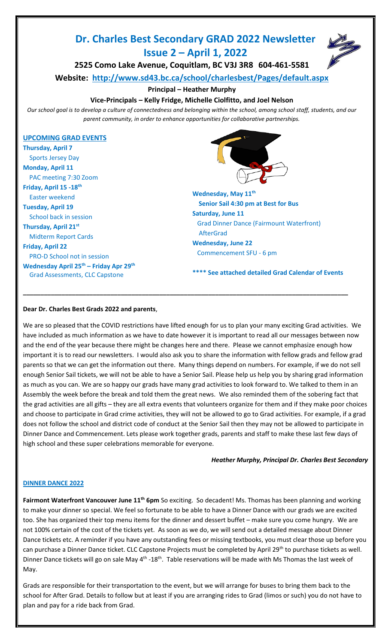# **Dr. Charles Best Secondary GRAD 2022 Newsletter Issue 2 – April 1, 2022**



**2525 Como Lake Avenue, Coquitlam, BC V3J 3R8 604-461-5581**

**Website: <http://www.sd43.bc.ca/school/charlesbest/Pages/default.aspx>**

**Principal – Heather Murphy**

## **Vice-Principals – Kelly Fridge, Michelle Ciolfitto, and Joel Nelson**

*Our school goal is to develop a culture of connectedness and belonging within the school, among school staff, students, and our parent community, in order to enhance opportunities for collaborative partnerships.*

## **UPCOMING GRAD EVENTS**

**Thursday, April 7** Sports Jersey Day **Monday, April 11** PAC meeting 7:30 Zoom **Friday, April 15 -18th** Easter weekend **Tuesday, April 19** School back in session **Thursday, April 21st** Midterm Report Cards **Friday, April 22** PRO-D School not in session **Wednesday April 25th – Friday Apr 29 th** Grad Assessments, CLC Capstone



**Wednesday, May 11th Senior Sail 4:30 pm at Best for Bus Saturday, June 11** Grad Dinner Dance (Fairmount Waterfront) **AfterGrad Wednesday, June 22** Commencement SFU - 6 pm

**\*\*\*\* See attached detailed Grad Calendar of Events**

## **Dear Dr. Charles Best Grads 2022 and parents**,

We are so pleased that the COVID restrictions have lifted enough for us to plan your many exciting Grad activities. We have included as much information as we have to date however it is important to read all our messages between now and the end of the year because there might be changes here and there. Please we cannot emphasize enough how important it is to read our newsletters. I would also ask you to share the information with fellow grads and fellow grad parents so that we can get the information out there. Many things depend on numbers. For example, if we do not sell enough Senior Sail tickets, we will not be able to have a Senior Sail. Please help us help you by sharing grad information as much as you can. We are so happy our grads have many grad activities to look forward to. We talked to them in an Assembly the week before the break and told them the great news. We also reminded them of the sobering fact that the grad activities are all gifts – they are all extra events that volunteers organize for them and if they make poor choices and choose to participate in Grad crime activities, they will not be allowed to go to Grad activities. For example, if a grad does not follow the school and district code of conduct at the Senior Sail then they may not be allowed to participate in Dinner Dance and Commencement. Lets please work together grads, parents and staff to make these last few days of high school and these super celebrations memorable for everyone.

**\_\_\_\_\_\_\_\_\_\_\_\_\_\_\_\_\_\_\_\_\_\_\_\_\_\_\_\_\_\_\_\_\_\_\_\_\_\_\_\_\_\_\_\_\_\_\_\_\_\_\_\_\_\_\_\_\_\_\_\_\_\_\_\_\_\_\_\_\_\_\_\_\_\_\_\_\_\_\_\_\_\_\_\_\_\_\_\_\_\_\_\_\_**

*Heather Murphy, Principal Dr. Charles Best Secondary* 

#### **DINNER DANCE 2022**

**Fairmont Waterfront Vancouver June 11th 6pm** So exciting. So decadent! Ms. Thomas has been planning and working to make your dinner so special. We feel so fortunate to be able to have a Dinner Dance with our grads we are excited too. She has organized their top menu items for the dinner and dessert buffet – make sure you come hungry. We are not 100% certain of the cost of the tickets yet. As soon as we do, we will send out a detailed message about Dinner Dance tickets etc. A reminder if you have any outstanding fees or missing textbooks, you must clear those up before you can purchase a Dinner Dance ticket. CLC Capstone Projects must be completed by April 29<sup>th</sup> to purchase tickets as well. Dinner Dance tickets will go on sale May 4<sup>th</sup> -18<sup>th</sup>. Table reservations will be made with Ms Thomas the last week of May.

Grads are responsible for their transportation to the event, but we will arrange for buses to bring them back to the school for After Grad. Details to follow but at least if you are arranging rides to Grad (limos or such) you do not have to plan and pay for a ride back from Grad.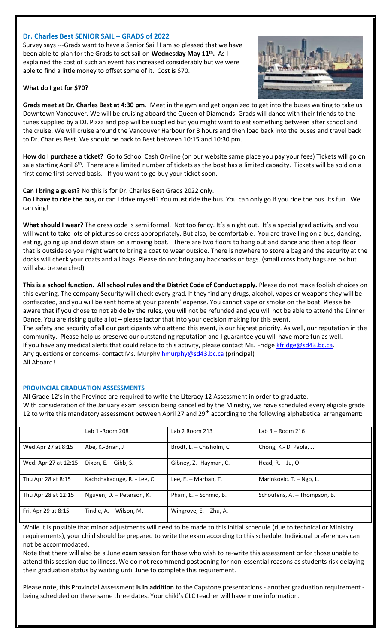## **Dr. Charles Best SENIOR SAIL – GRADS of 2022**

Survey says ---Grads want to have a Senior Sail! I am so pleased that we have been able to plan for the Grads to set sail on **Wednesday May 11th .** As I explained the cost of such an event has increased considerably but we were able to find a little money to offset some of it. Cost is \$70.

## **What do I get for \$70?**



**Grads meet at Dr. Charles Best at 4:30 pm**. Meet in the gym and get organized to get into the buses waiting to take us Downtown Vancouver. We will be cruising aboard the Queen of Diamonds. Grads will dance with their friends to the tunes supplied by a DJ. Pizza and pop will be supplied but you might want to eat something between after school and the cruise. We will cruise around the Vancouver Harbour for 3 hours and then load back into the buses and travel back to Dr. Charles Best. We should be back to Best between 10:15 and 10:30 pm.

**How do I purchase a ticket?** Go to School Cash On-line (on our website same place you pay your fees) Tickets will go on sale starting April  $6<sup>th</sup>$ . There are a limited number of tickets as the boat has a limited capacity. Tickets will be sold on a first come first served basis. If you want to go buy your ticket soon.

**Can I bring a guest?** No this is for Dr. Charles Best Grads 2022 only. **Do I have to ride the bus,** or can I drive myself? You must ride the bus. You can only go if you ride the bus. Its fun. We can sing!

What should I wear? The dress code is semi formal. Not too fancy. It's a night out. It's a special grad activity and you will want to take lots of pictures so dress appropriately. But also, be comfortable. You are travelling on a bus, dancing, eating, going up and down stairs on a moving boat. There are two floors to hang out and dance and then a top floor that is outside so you might want to bring a coat to wear outside. There is nowhere to store a bag and the security at the docks will check your coats and all bags. Please do not bring any backpacks or bags. (small cross body bags are ok but will also be searched)

**This is a school function. All school rules and the District Code of Conduct apply.** Please do not make foolish choices on this evening. The company Security will check every grad. If they find any drugs, alcohol, vapes or weapons they will be confiscated, and you will be sent home at your parents' expense. You cannot vape or smoke on the boat. Please be aware that if you chose to not abide by the rules, you will not be refunded and you will not be able to attend the Dinner Dance. You are risking quite a lot – please factor that into your decision making for this event. The safety and security of all our participants who attend this event, is our highest priority. As well, our reputation in the community. Please help us preserve our outstanding reputation and I guarantee you will have more fun as well. If you have any medical alerts that could relate to this activity, please contact Ms. Fridge [kfridge@sd43.bc.ca.](mailto:kfridge@sd43.bc.ca) Any questions or concerns- contact Ms. Murphy [hmurphy@sd43.bc.ca](mailto:hmurphy@sd43.bc.ca) (principal)

All Aboard!

## **PROVINCIAL GRADUATION ASSESSMENTS**

All Grade 12's in the Province are required to write the Literacy 12 Assessment in order to graduate. With consideration of the January exam session being cancelled by the Ministry, we have scheduled every eligible grade 12 to write this mandatory assessment between April 27 and 29<sup>th</sup> according to the following alphabetical arrangement:

|                      | Lab 1 - Room 208           | Lab 2 Room 213          | Lab $3 -$ Room 216           |
|----------------------|----------------------------|-------------------------|------------------------------|
| Wed Apr 27 at 8:15   | Abe, K.-Brian, J           | Brodt, L. – Chisholm, C | Chong, K.- Di Paola, J.      |
| Wed. Apr 27 at 12:15 | Dixon, E. - Gibb, S.       | Gibney, Z.- Hayman, C.  | Head, $R. - Ju$ , O.         |
| Thu Apr 28 at 8:15   | Kachchakaduge, R. - Lee, C | Lee, E. - Marban, T.    | Marinkovic, T. - Ngo, L.     |
| Thu Apr 28 at 12:15  | Nguyen, D. - Peterson, K.  | Pham, E. - Schmid, B.   | Schoutens, A. - Thompson, B. |
| Fri. Apr 29 at 8:15  | Tindle, A. - Wilson, M.    | Wingrove, E. - Zhu, A.  |                              |

While it is possible that minor adjustments will need to be made to this initial schedule (due to technical or Ministry requirements), your child should be prepared to write the exam according to this schedule. Individual preferences can not be accommodated.

Note that there will also be a June exam session for those who wish to re-write this assessment or for those unable to attend this session due to illness. We do not recommend postponing for non-essential reasons as students risk delaying their graduation status by waiting until June to complete this requirement.

Please note, this Provincial Assessment **is in addition** to the Capstone presentations - another graduation requirement being scheduled on these same three dates. Your child's CLC teacher will have more information.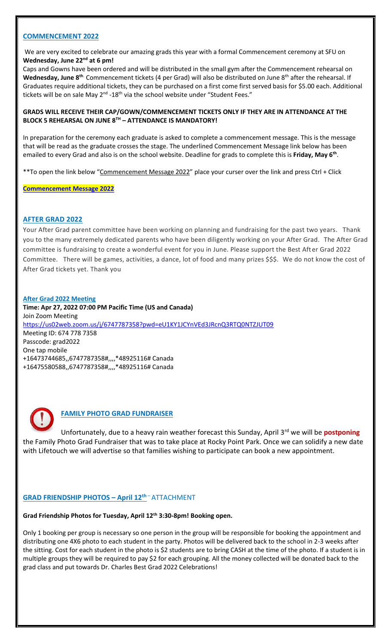#### **COMMENCEMENT 2022**

We are very excited to celebrate our amazing grads this year with a formal Commencement ceremony at SFU on **Wednesday, June 22nd at 6 pm!**

Caps and Gowns have been ordered and will be distributed in the small gym after the Commencement rehearsal on Wednesday, June 8<sup>th.</sup> Commencement tickets (4 per Grad) will also be distributed on June 8<sup>th</sup> after the rehearsal. If Graduates require additional tickets, they can be purchased on a first come first served basis for \$5.00 each. Additional tickets will be on sale May 2<sup>nd</sup> -18<sup>th</sup> via the school website under "Student Fees."

#### **GRADS WILL RECEIVE THEIR CAP/GOWN/COMMENCEMENT TICKETS ONLY IF THEY ARE IN ATTENDANCE AT THE BLOCK 5 REHEARSAL ON JUNE 8TH – ATTENDANCE IS MANDATORY!**

In preparation for the ceremony each graduate is asked to complete a commencement message. This is the message that will be read as the graduate crosses the stage. The underlined Commencement Message link below has been emailed to every Grad and also is on the school website. Deadline for grads to complete this is **Friday, May 6th** .

\*\*To open the link below "Commencement Message 2022" place your curser over the link and press Ctrl + Click

**[Commencement Message 2022](https://forms.office.com/Pages/ResponsePage.aspx?id=74xl2ZICUkKZJWRC3iSkS2U9i0mSAAZBgmBJ4n69wmtUQVNJMThMR0o1QzlGOEJFMUw5Nk9VVU1BQS4u)**

## **AFTER GRAD 2022**

Your After Grad parent committee have been working on planning and fundraising for the past two years. Thank you to the many extremely dedicated parents who have been diligently working on your After Grad. The After Grad committee is fundraising to create a wonderful event for you in June. Please support the Best After Grad 2022 Committee. There will be games, activities, a dance, lot of food and many prizes \$\$\$. We do not know the cost of After Grad tickets yet. Thank you

#### **After Grad 2022 Meeting**

**Time: Apr 27, 2022 07:00 PM Pacific Time (US and Canada)** Join Zoom Meeting <https://us02web.zoom.us/j/6747787358?pwd=eU1KY1JCYnVEd3JRcnQ3RTQ0NTZJUT09> Meeting ID: 674 778 7358 Passcode: grad2022 One tap mobile +16473744685,,6747787358#,,,,\*48925116# Canada +16475580588,,6747787358#,,,,\*48925116# Canada



# **FAMILY PHOTO GRAD FUNDRAISER**

Unfortunately, due to a heavy rain weather forecast this Sunday, April 3rd we will be **postponing** the Family Photo Grad Fundraiser that was to take place at Rocky Point Park. Once we can solidify a new date with Lifetouch we will advertise so that families wishing to participate can book a new appointment.

## **GRAD FRIENDSHIP PHOTOS – April 12th** – ATTACHMENT

#### **Grad Friendship Photos for Tuesday, April 12th 3:30-8pm! Booking open.**

Only 1 booking per group is necessary so one person in the group will be responsible for booking the appointment and distributing one 4X6 photo to each student in the party. Photos will be delivered back to the school in 2-3 weeks after the sitting. Cost for each student in the photo is \$2 students are to bring CASH at the time of the photo. If a student is in multiple groups they will be required to pay \$2 for each grouping. All the money collected will be donated back to the grad class and put towards Dr. Charles Best Grad 2022 Celebrations!